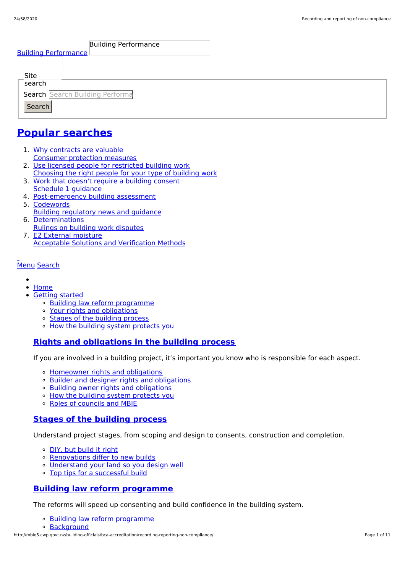| <b>Building Performance</b><br><b>Building Performance</b>  |  |
|-------------------------------------------------------------|--|
| Site<br>search<br>Search Search Building Performa<br>Search |  |

# **Popular [searches](http://mbie5.cwp.govt.nz/#)**

- 1. Why contracts are valuable Consumer protection measures
- 2. Use licensed people for restricted building work Choosing the right people for your type of building work
- 3. Work that doesn't require a building consent Schedule 1 guidance
- 4. Post-emergency building assessment
- 5. Codewords Building regulatory news and guidance
- 6. Determinations Rulings on building work disputes
- 7. E2 External moisture Acceptable Solutions and Verification Methods

#### [Menu](http://mbie5.cwp.govt.nz/#) [Search](http://mbie5.cwp.govt.nz/#)

- $\bullet$
- [Home](http://mbie5.cwp.govt.nz/)
- [Getting](http://mbie5.cwp.govt.nz/getting-started/) started
	- o Building law reform [programme](http://mbie5.cwp.govt.nz/getting-started/building-law-reforms/)
	- Your rights and [obligations](http://mbie5.cwp.govt.nz/getting-started/your-rights-and-obligations/)
	- Stages of the [building](http://mbie5.cwp.govt.nz/getting-started/stages-of-the-building-process/) process
	- o How the building system [protects](http://mbie5.cwp.govt.nz/getting-started/how-the-building-system-protects-you/) you

## **Rights and [obligations](http://mbie5.cwp.govt.nz/getting-started/your-rights-and-obligations/) in the building process**

If you are involved in a building project, it's important you know who is responsible for each aspect.

- [Homeowner](http://mbie5.cwp.govt.nz/getting-started/your-rights-and-obligations/homeowner-rights-and-obligations/) rights and obligations
- o Builder and designer rights and [obligations](http://mbie5.cwp.govt.nz/getting-started/your-rights-and-obligations/builder-and-designer-rights-and-obligations/)
- Building owner rights and [obligations](http://mbie5.cwp.govt.nz/getting-started/your-rights-and-obligations/building-owner-rights-and-obligations/)
- How the building system [protects](http://mbie5.cwp.govt.nz/getting-started/how-the-building-system-protects-you/) you
- Roles of [councils](http://mbie5.cwp.govt.nz/getting-started/how-the-building-system-protects-you/roles-of-councils-and-mbie/) and MBIE

## **Stages of the [building](http://mbie5.cwp.govt.nz/getting-started/stages-of-the-building-process/) process**

Understand project stages, from scoping and design to consents, construction and completion.

- o DIY, but [build](http://mbie5.cwp.govt.nz/getting-started/stages-of-the-building-process/diy-but-build-it-right/) it right
- o [Renovations](http://mbie5.cwp.govt.nz/getting-started/stages-of-the-building-process/renovations-differ-to-new-builds/) differ to new builds
- [Understand](http://mbie5.cwp.govt.nz/getting-started/stages-of-the-building-process/understand-your-land/) your land so you design well
- Top tips for a [successful](http://mbie5.cwp.govt.nz/getting-started/stages-of-the-building-process/top-tips-for-building/) build

## **Building law reform [programme](http://mbie5.cwp.govt.nz/getting-started/building-law-reforms/)**

The reforms will speed up consenting and build confidence in the building system.

- Building law reform [programme](http://mbie5.cwp.govt.nz/getting-started/building-law-reforms/)
- [Background](http://mbie5.cwp.govt.nz/getting-started/building-law-reforms/background-to-the-building-law-reforms/)

http://mbie5.cwp.govt.nz/building-officials/bca-accreditation/recording-reporting-non-compliance/ Page 1 of 11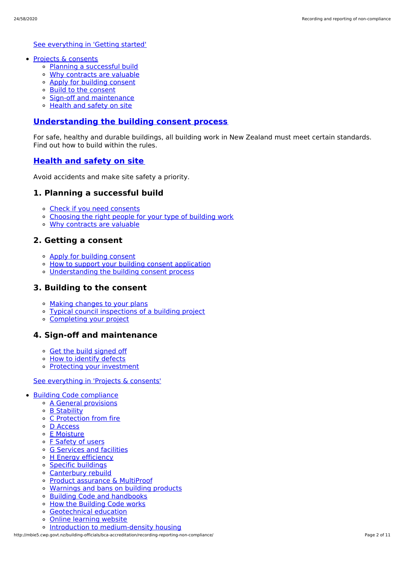See [everything](http://mbie5.cwp.govt.nz/getting-started/) in 'Getting started'

- Projects & [consents](http://mbie5.cwp.govt.nz/projects-and-consents/)
	- Planning a [successful](http://mbie5.cwp.govt.nz/projects-and-consents/planning-a-successful-build/) build
	- Why [contracts](http://mbie5.cwp.govt.nz/projects-and-consents/why-contracts-are-valuable/) are valuable
	- Apply for [building](http://mbie5.cwp.govt.nz/projects-and-consents/apply-for-building-consent/) consent
	- Build to the [consent](http://mbie5.cwp.govt.nz/projects-and-consents/build-to-the-consent/)
	- Sign-off and [maintenance](http://mbie5.cwp.govt.nz/projects-and-consents/sign-off-and-maintenance/)
	- [Health](http://mbie5.cwp.govt.nz/projects-and-consents/health-and-safety-on-site/) and safety on site

#### **[Understanding](http://mbie5.cwp.govt.nz/projects-and-consents/apply-for-building-consent/building-consent-process/) the building consent process**

For safe, healthy and durable buildings, all building work in New Zealand must meet certain standards. Find out how to build within the rules.

#### **[Health](http://mbie5.cwp.govt.nz/projects-and-consents/health-and-safety-on-site/) and safety on site**

Avoid accidents and make site safety a priority.

### **1. Planning a successful build**

- Check if you need [consents](http://mbie5.cwp.govt.nz/projects-and-consents/planning-a-successful-build/scope-and-design/check-if-you-need-consents/)
- [Choosing](http://mbie5.cwp.govt.nz/projects-and-consents/planning-a-successful-build/scope-and-design/choosing-the-right-people-for-your-type-of-building-work/) the right people for your type of building work
- Why [contracts](http://mbie5.cwp.govt.nz/projects-and-consents/why-contracts-are-valuable/) are valuable

#### **2. Getting a consent**

- Apply for [building](http://mbie5.cwp.govt.nz/projects-and-consents/apply-for-building-consent/) consent
- o How to support your building consent [application](http://mbie5.cwp.govt.nz/projects-and-consents/apply-for-building-consent/support-your-consent-application/)
- [Understanding](http://mbie5.cwp.govt.nz/projects-and-consents/apply-for-building-consent/building-consent-process/) the building consent process

#### **3. Building to the consent**

- Making [changes](http://mbie5.cwp.govt.nz/projects-and-consents/build-to-the-consent/making-changes-to-your-plans/) to your plans
- Typical council [inspections](http://mbie5.cwp.govt.nz/projects-and-consents/build-to-the-consent/typical-council-inspections/) of a building project
- [Completing](http://mbie5.cwp.govt.nz/projects-and-consents/sign-off-and-maintenance/completing-your-project/) your project

### **4. Sign-off and maintenance**

- Get the build [signed](http://mbie5.cwp.govt.nz/projects-and-consents/sign-off-and-maintenance/completing-your-project/get-the-build-signed-off/) off
- <sup>o</sup> How to [identify](http://mbie5.cwp.govt.nz/projects-and-consents/sign-off-and-maintenance/completing-your-project/how-to-identify-defects/) defects
- Protecting your [investment](http://mbie5.cwp.govt.nz/projects-and-consents/sign-off-and-maintenance/protecting-your-investment/)

#### See [everything](http://mbie5.cwp.govt.nz/projects-and-consents/) in 'Projects & consents'

- Building Code [compliance](http://mbie5.cwp.govt.nz/building-code-compliance/)
	- A General [provisions](http://mbie5.cwp.govt.nz/building-code-compliance/a-general-provisions/)
	- B [Stability](http://mbie5.cwp.govt.nz/building-code-compliance/b-stability/)
	- C [Protection](http://mbie5.cwp.govt.nz/building-code-compliance/c-protection-from-fire/) from fire
	- D [Access](http://mbie5.cwp.govt.nz/building-code-compliance/d-access/)
	- E [Moisture](http://mbie5.cwp.govt.nz/building-code-compliance/e-moisture/)
	- o F [Safety](http://mbie5.cwp.govt.nz/building-code-compliance/f-safety-of-users/) of users
	- o G [Services](http://mbie5.cwp.govt.nz/building-code-compliance/g-services-and-facilities/) and facilities
	- o H Energy [efficiency](http://mbie5.cwp.govt.nz/building-code-compliance/h-energy-efficiency/)
	- Specific [buildings](http://mbie5.cwp.govt.nz/building-code-compliance/specific-buildings/)
	- [Canterbury](http://mbie5.cwp.govt.nz/building-code-compliance/canterbury-rebuild/) rebuild
	- Product [assurance](http://mbie5.cwp.govt.nz/building-code-compliance/product-assurance-and-multiproof/) & MultiProof
	- [Warnings](http://mbie5.cwp.govt.nz/building-code-compliance/warnings-and-bans-on-building-products/) and bans on building products
	- Building Code and [handbooks](http://mbie5.cwp.govt.nz/building-code-compliance/building-code-and-handbooks/)
	- How the [Building](http://mbie5.cwp.govt.nz/building-code-compliance/how-the-building-code-works/) Code works
	- [Geotechnical](http://mbie5.cwp.govt.nz/building-code-compliance/geotechnical-education/) education
	- Online [learning](http://mbie5.cwp.govt.nz/building-code-compliance/online-learning/) website
	- o Introduction to [medium-density](http://mbie5.cwp.govt.nz/building-code-compliance/introduction-to-medium-density-housing/) housing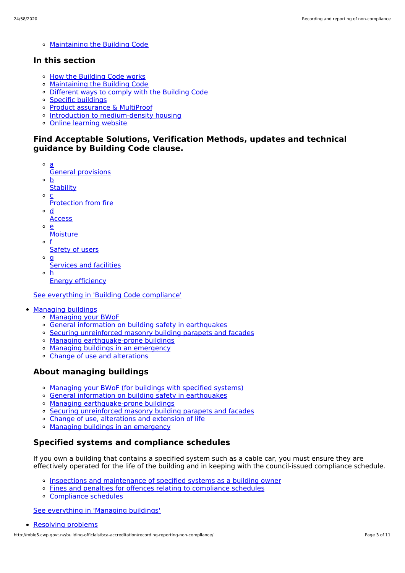[Maintaining](http://mbie5.cwp.govt.nz/building-code-compliance/annual-building-code-updates/) the Building Code

## **In this section**

- o How the [Building](http://mbie5.cwp.govt.nz/building-code-compliance/how-the-building-code-works/) Code works
- [Maintaining](http://mbie5.cwp.govt.nz/building-code-compliance/annual-building-code-updates/) the Building Code
- [Different](http://mbie5.cwp.govt.nz/building-code-compliance/how-the-building-code-works/different-ways-to-comply/) ways to comply with the Building Code
- Specific [buildings](http://mbie5.cwp.govt.nz/building-code-compliance/specific-buildings/)
- Product [assurance](http://mbie5.cwp.govt.nz/building-code-compliance/product-assurance-and-multiproof/) & MultiProof
- o Introduction to [medium-density](http://mbie5.cwp.govt.nz/building-code-compliance/introduction-to-medium-density-housing/) housing
- Online [learning](http://mbie5.cwp.govt.nz/building-code-compliance/online-learning/) website

## **Find Acceptable Solutions, Verification Methods, updates and technical guidance by Building Code clause.**

- a General provisions
- $\circ$ b
- **Stability**  $\circ$ c
- Protection from fire
- $\circ$ d
- **Access**
- $\Omega$ e
	- **Moisture**
- o f Safety of users
- $\circ$  **g** 
	- Services and facilities
- h Energy efficiency

See everything in 'Building Code [compliance'](http://mbie5.cwp.govt.nz/building-code-compliance/)

- [Managing](http://mbie5.cwp.govt.nz/managing-buildings/) buildings
	- [Managing](http://mbie5.cwp.govt.nz/managing-buildings/managing-your-bwof/) your BWoF
	- General information on building safety in [earthquakes](http://mbie5.cwp.govt.nz/managing-buildings/building-safety-in-earthquakes/)
	- Securing [unreinforced](http://mbie5.cwp.govt.nz/managing-buildings/unreinforced-masonry/) masonry building parapets and facades
	- o Managing [earthquake-prone](http://mbie5.cwp.govt.nz/managing-buildings/managing-earthquake-prone-buildings/) buildings
	- Managing buildings in an [emergency](http://mbie5.cwp.govt.nz/managing-buildings/managing-buildings-in-an-emergency/)
	- Change of use and [alterations](http://mbie5.cwp.govt.nz/managing-buildings/change-of-use-and-alterations/)

## **About managing buildings**

- [Managing](http://mbie5.cwp.govt.nz/managing-buildings/managing-your-bwof/) your BWoF (for buildings with specified systems)
- General information on building safety in [earthquakes](http://mbie5.cwp.govt.nz/managing-buildings/building-safety-in-earthquakes/)
- Managing [earthquake-prone](http://mbie5.cwp.govt.nz/managing-buildings/managing-earthquake-prone-buildings/) buildings
- Securing [unreinforced](http://mbie5.cwp.govt.nz/managing-buildings/unreinforced-masonry/) masonry building parapets and facades
- Change of use, [alterations](http://mbie5.cwp.govt.nz/managing-buildings/change-of-use-and-alterations/) and extension of life
- o Managing buildings in an [emergency](http://mbie5.cwp.govt.nz/managing-buildings/managing-buildings-in-an-emergency/)

## **Specified systems and compliance schedules**

If you own a building that contains a specified system such as a cable car, you must ensure they are effectively operated for the life of the building and in keeping with the council-issued compliance schedule.

- Inspections and [maintenance](http://mbie5.cwp.govt.nz/managing-buildings/managing-your-bwof/inspections-and-maintenance/) of specified systems as a building owner
- Fines and penalties for offences relating to [compliance](http://mbie5.cwp.govt.nz/managing-buildings/managing-your-bwof/fines-and-penalties/) schedules
- [Compliance](http://mbie5.cwp.govt.nz/projects-and-consents/sign-off-and-maintenance/completing-your-project/compliance-schedules/) schedules

See [everything](http://mbie5.cwp.govt.nz/managing-buildings/) in 'Managing buildings'

```
Resolving problems
```
http://mbie5.cwp.govt.nz/building-officials/bca-accreditation/recording-reporting-non-compliance/ Page 3 of 11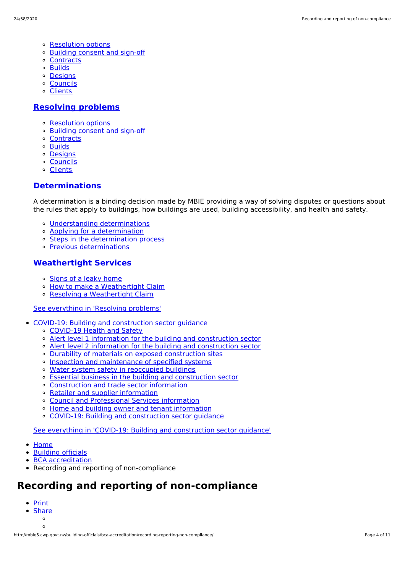- [Resolution](http://mbie5.cwp.govt.nz/resolving-problems/resolution-options/) options
- [Building](http://mbie5.cwp.govt.nz/resolving-problems/building-consent-and-sign-off/) consent and sign-off
- [Contracts](http://mbie5.cwp.govt.nz/resolving-problems/contracts/)
- [Builds](http://mbie5.cwp.govt.nz/resolving-problems/builds/)
- [Designs](http://mbie5.cwp.govt.nz/resolving-problems/designs/)
- [Councils](http://mbie5.cwp.govt.nz/resolving-problems/councils/)
- [Clients](http://mbie5.cwp.govt.nz/resolving-problems/clients/)

#### **[Resolving](http://mbie5.cwp.govt.nz/resolving-problems/) problems**

- [Resolution](http://mbie5.cwp.govt.nz/resolving-problems/resolution-options/) options
- [Building](http://mbie5.cwp.govt.nz/resolving-problems/building-consent-and-sign-off/) consent and sign-off
- [Contracts](http://mbie5.cwp.govt.nz/resolving-problems/contracts/)
- o **[Builds](http://mbie5.cwp.govt.nz/resolving-problems/builds/)**
- [Designs](http://mbie5.cwp.govt.nz/resolving-problems/designs/)
- [Councils](http://mbie5.cwp.govt.nz/resolving-problems/councils/)
- [Clients](http://mbie5.cwp.govt.nz/resolving-problems/clients/)

#### **[Determinations](http://mbie5.cwp.govt.nz/resolving-problems/resolution-options/determinations/)**

A determination is a binding decision made by MBIE providing a way of solving disputes or questions about the rules that apply to buildings, how buildings are used, building accessibility, and health and safety.

- Understanding [determinations](http://mbie5.cwp.govt.nz/resolving-problems/resolution-options/determinations/)
- Applying for a [determination](http://mbie5.cwp.govt.nz/resolving-problems/resolution-options/determinations/applying-for-a-determination/)
- Steps in the [determination](http://mbie5.cwp.govt.nz/resolving-problems/resolution-options/determinations/steps-in-the-determination-process/) process
- Previous [determinations](http://mbie5.cwp.govt.nz/resolving-problems/resolution-options/determinations/determinations-issued/)

#### **[Weathertight](http://mbie5.cwp.govt.nz/resolving-problems/resolution-options/weathertight-services/) Services**

- o [Signs](http://mbie5.cwp.govt.nz/resolving-problems/resolution-options/weathertight-services/signs-of-a-leaky-home/) of a leaky home
- How to make a [Weathertight](http://mbie5.cwp.govt.nz/resolving-problems/resolution-options/weathertight-services/make-a-weathertight-home-claim/) Claim  $\circ$
- Resolving a [Weathertight](http://mbie5.cwp.govt.nz/resolving-problems/resolution-options/weathertight-services/resolving-a-claim/) Claim

#### See [everything](http://mbie5.cwp.govt.nz/resolving-problems/) in 'Resolving problems'

- COVID-19: Building and [construction](http://mbie5.cwp.govt.nz/covid-19/) sector guidance
	- [COVID-19](http://mbie5.cwp.govt.nz/covid-19/health-and-safety/) Health and Safety
	- Alert level 1 information for the building and [construction](http://mbie5.cwp.govt.nz/covid-19/alert-level-1-information-for-the-building-and-construction-sector/) sector
	- Alert level 2 information for the building and [construction](http://mbie5.cwp.govt.nz/covid-19/alert-level-2-information-for-the-building-and-construction-sector/) sector
	- Durability of materials on exposed [construction](http://mbie5.cwp.govt.nz/covid-19/durability-of-materials-on-exposed-construction-sites/) sites
	- o Inspection and [maintenance](http://mbie5.cwp.govt.nz/covid-19/inspection-and-maintenance-of-specified-systems/) of specified systems
	- Water system safety in [reoccupied](http://mbie5.cwp.govt.nz/covid-19/water-system-safety-in-reoccupied-buildings/) buildings
	- Essential business in the building and [construction](http://mbie5.cwp.govt.nz/covid-19/essential-business/) sector
	- [Construction](http://mbie5.cwp.govt.nz/covid-19/construction-and-trade-sector-information/) and trade sector information
	- Retailer and supplier [information](http://mbie5.cwp.govt.nz/covid-19/retailer-and-supplier-information/)
	- Council and [Professional](http://mbie5.cwp.govt.nz/covid-19/council-and-professional-services-information/) Services information
	- Home and building owner and tenant [information](http://mbie5.cwp.govt.nz/covid-19/home-and-building-owner-and-tenant-information/)
	- COVID-19: Building and [construction](http://mbie5.cwp.govt.nz/covid-19/) sector guidance  $\alpha$

See everything in 'COVID-19: Building and [construction](http://mbie5.cwp.govt.nz/covid-19/) sector guidance'

- [Home](http://mbie5.cwp.govt.nz/)
- [Building](http://mbie5.cwp.govt.nz/building-officials/) officials
- BCA [accreditation](http://mbie5.cwp.govt.nz/building-officials/bca-accreditation/)
- Recording and reporting of non-compliance

# **Recording and reporting of non-compliance**

- [Print](http://mbie5.cwp.govt.nz/#)
- **[Share](http://mbie5.cwp.govt.nz/#)**  $\circ$

 $\circ$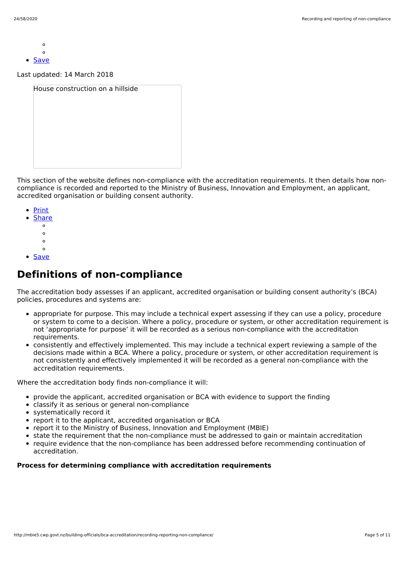- $\circ$  $\sim$
- **[Save](http://mbie5.cwp.govt.nz/building-officials/bca-accreditation/recording-reporting-non-compliance/downloadpdf)**

Last updated: 14 March 2018

| House construction on a hillside |  |
|----------------------------------|--|
|                                  |  |
|                                  |  |
|                                  |  |
|                                  |  |
|                                  |  |
|                                  |  |

This section of the website defines non-compliance with the accreditation requirements. It then details how noncompliance is recorded and reported to the Ministry of Business, Innovation and Employment, an applicant, accredited organisation or building consent authority.

- [Print](http://mbie5.cwp.govt.nz/#)
- **[Share](http://mbie5.cwp.govt.nz/#)** 
	- $\circ$
	- $\circ$
	- $\circ$
	- $\circ$
- [Save](http://mbie5.cwp.govt.nz/building-officials/bca-accreditation/recording-reporting-non-compliance/downloadpdf)

# **Definitions of non-compliance**

The accreditation body assesses if an applicant, accredited organisation or building consent authority's (BCA) policies, procedures and systems are:

- appropriate for purpose. This may include a technical expert assessing if they can use a policy, procedure or system to come to a decision. Where a policy, procedure or system, or other accreditation requirement is not 'appropriate for purpose' it will be recorded as a serious non-compliance with the accreditation requirements.
- consistently and effectively implemented. This may include a technical expert reviewing a sample of the decisions made within a BCA. Where a policy, procedure or system, or other accreditation requirement is not consistently and effectively implemented it will be recorded as a general non-compliance with the accreditation requirements.

Where the accreditation body finds non-compliance it will:

- provide the applicant, accredited organisation or BCA with evidence to support the finding
- classify it as serious or general non-compliance
- systematically record it
- report it to the applicant, accredited organisation or BCA
- report it to the Ministry of Business, Innovation and Employment (MBIE)
- state the requirement that the non-compliance must be addressed to gain or maintain accreditation
- require evidence that the non-compliance has been addressed before recommending continuation of accreditation.

### **Process for determining compliance with accreditation requirements**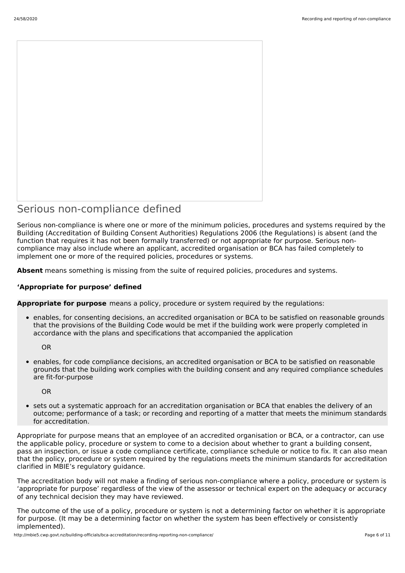

## Serious non-compliance defined

Serious non-compliance is where one or more of the minimum policies, procedures and systems required by the Building (Accreditation of Building Consent Authorities) Regulations 2006 (the Regulations) is absent (and the function that requires it has not been formally transferred) or not appropriate for purpose. Serious noncompliance may also include where an applicant, accredited organisation or BCA has failed completely to implement one or more of the required policies, procedures or systems.

**Absent** means something is missing from the suite of required policies, procedures and systems.

#### **'Appropriate for purpose' defined**

**Appropriate for purpose** means a policy, procedure or system required by the regulations:

enables, for consenting decisions, an accredited organisation or BCA to be satisfied on reasonable grounds that the provisions of the Building Code would be met if the building work were properly completed in accordance with the plans and specifications that accompanied the application

OR

enables, for code compliance decisions, an accredited organisation or BCA to be satisfied on reasonable grounds that the building work complies with the building consent and any required compliance schedules are fit-for-purpose

OR

sets out a systematic approach for an accreditation organisation or BCA that enables the delivery of an outcome; performance of a task; or recording and reporting of a matter that meets the minimum standards for accreditation.

Appropriate for purpose means that an employee of an accredited organisation or BCA, or a contractor, can use the applicable policy, procedure or system to come to a decision about whether to grant a building consent, pass an inspection, or issue a code compliance certificate, compliance schedule or notice to fix. It can also mean that the policy, procedure or system required by the regulations meets the minimum standards for accreditation clarified in MBIE's regulatory guidance.

The accreditation body will not make a finding of serious non-compliance where a policy, procedure or system is 'appropriate for purpose' regardless of the view of the assessor or technical expert on the adequacy or accuracy of any technical decision they may have reviewed.

The outcome of the use of a policy, procedure or system is not a determining factor on whether it is appropriate for purpose. (It may be a determining factor on whether the system has been effectively or consistently implemented).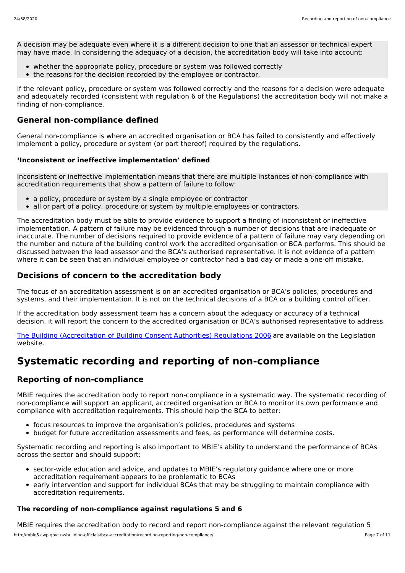A decision may be adequate even where it is a different decision to one that an assessor or technical expert may have made. In considering the adequacy of a decision, the accreditation body will take into account:

- whether the appropriate policy, procedure or system was followed correctly
- the reasons for the decision recorded by the employee or contractor.

If the relevant policy, procedure or system was followed correctly and the reasons for a decision were adequate and adequately recorded (consistent with regulation 6 of the Regulations) the accreditation body will not make a finding of non-compliance.

## **General non-compliance defined**

General non-compliance is where an accredited organisation or BCA has failed to consistently and effectively implement a policy, procedure or system (or part thereof) required by the regulations.

#### **'Inconsistent or ineffective implementation' defined**

Inconsistent or ineffective implementation means that there are multiple instances of non-compliance with accreditation requirements that show a pattern of failure to follow:

- a policy, procedure or system by a single employee or contractor
- all or part of a policy, procedure or system by multiple employees or contractors.

The accreditation body must be able to provide evidence to support a finding of inconsistent or ineffective implementation. A pattern of failure may be evidenced through a number of decisions that are inadequate or inaccurate. The number of decisions required to provide evidence of a pattern of failure may vary depending on the number and nature of the building control work the accredited organisation or BCA performs. This should be discussed between the lead assessor and the BCA's authorised representative. It is not evidence of a pattern where it can be seen that an individual employee or contractor had a bad day or made a one-off mistake.

## **Decisions of concern to the accreditation body**

The focus of an accreditation assessment is on an accredited organisation or BCA's policies, procedures and systems, and their implementation. It is not on the technical decisions of a BCA or a building control officer.

If the accreditation body assessment team has a concern about the adequacy or accuracy of a technical decision, it will report the concern to the accredited organisation or BCA's authorised representative to address.

The Building [\(Accreditation](http://www.legislation.govt.nz/regulation/public/2006/0399/latest/DLM424665.html) of Building Consent Authorities) Regulations 2006 are available on the Legislation website.

# **Systematic recording and reporting of non-compliance**

## **Reporting of non-compliance**

MBIE requires the accreditation body to report non-compliance in a systematic way. The systematic recording of non-compliance will support an applicant, accredited organisation or BCA to monitor its own performance and compliance with accreditation requirements. This should help the BCA to better:

- focus resources to improve the organisation's policies, procedures and systems
- budget for future accreditation assessments and fees, as performance will determine costs.

Systematic recording and reporting is also important to MBIE's ability to understand the performance of BCAs across the sector and should support:

- sector-wide education and advice, and updates to MBIE's regulatory guidance where one or more accreditation requirement appears to be problematic to BCAs
- early intervention and support for individual BCAs that may be struggling to maintain compliance with accreditation requirements.

#### **The recording of non-compliance against regulations 5 and 6**

MBIE requires the accreditation body to record and report non-compliance against the relevant regulation 5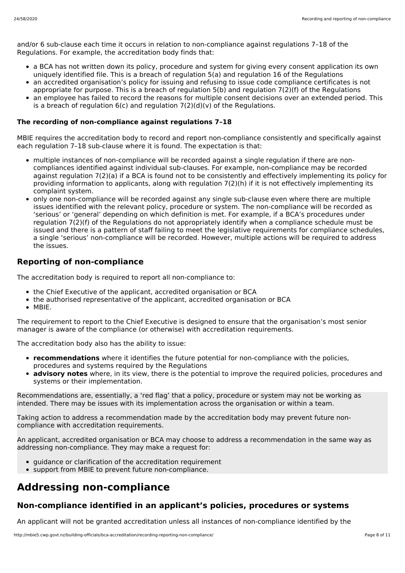and/or 6 sub-clause each time it occurs in relation to non-compliance against regulations 7–18 of the Regulations. For example, the accreditation body finds that:

- a BCA has not written down its policy, procedure and system for giving every consent application its own uniquely identified file. This is a breach of regulation 5(a) and regulation 16 of the Regulations
- an accredited organisation's policy for issuing and refusing to issue code compliance certificates is not appropriate for purpose. This is a breach of regulation 5(b) and regulation 7(2)(f) of the Regulations
- an employee has failed to record the reasons for multiple consent decisions over an extended period. This is a breach of regulation  $6(c)$  and regulation  $7(2)(d)(v)$  of the Regulations.

#### **The recording of non-compliance against regulations 7–18**

MBIE requires the accreditation body to record and report non-compliance consistently and specifically against each regulation 7–18 sub-clause where it is found. The expectation is that:

- multiple instances of non-compliance will be recorded against a single regulation if there are noncompliances identified against individual sub-clauses. For example, non-compliance may be recorded against regulation 7(2)(a) if a BCA is found not to be consistently and effectively implementing its policy for providing information to applicants, along with regulation 7(2)(h) if it is not effectively implementing its complaint system.
- only one non-compliance will be recorded against any single sub-clause even where there are multiple issues identified with the relevant policy, procedure or system. The non-compliance will be recorded as 'serious' or 'general' depending on which definition is met. For example, if a BCA's procedures under regulation 7(2)(f) of the Regulations do not appropriately identify when a compliance schedule must be issued and there is a pattern of staff failing to meet the legislative requirements for compliance schedules, a single 'serious' non-compliance will be recorded. However, multiple actions will be required to address the issues.

## **Reporting of non-compliance**

The accreditation body is required to report all non-compliance to:

- the Chief Executive of the applicant, accredited organisation or BCA
- the authorised representative of the applicant, accredited organisation or BCA
- MBIE.

The requirement to report to the Chief Executive is designed to ensure that the organisation's most senior manager is aware of the compliance (or otherwise) with accreditation requirements.

The accreditation body also has the ability to issue:

- **recommendations** where it identifies the future potential for non-compliance with the policies, procedures and systems required by the Regulations
- **advisory notes** where, in its view, there is the potential to improve the required policies, procedures and systems or their implementation.

Recommendations are, essentially, a 'red flag' that a policy, procedure or system may not be working as intended. There may be issues with its implementation across the organisation or within a team.

Taking action to address a recommendation made by the accreditation body may prevent future noncompliance with accreditation requirements.

An applicant, accredited organisation or BCA may choose to address a recommendation in the same way as addressing non-compliance. They may make a request for:

- guidance or clarification of the accreditation requirement
- support from MBIE to prevent future non-compliance.

# **Addressing non-compliance**

## **Non-compliance identified in an applicant's policies, procedures or systems**

An applicant will not be granted accreditation unless all instances of non-compliance identified by the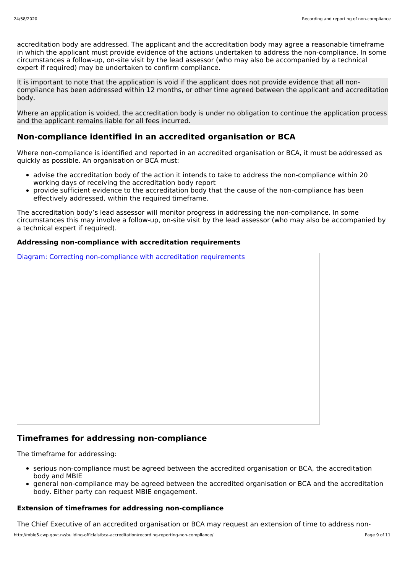accreditation body are addressed. The applicant and the accreditation body may agree a reasonable timeframe in which the applicant must provide evidence of the actions undertaken to address the non-compliance. In some circumstances a follow-up, on-site visit by the lead assessor (who may also be accompanied by a technical expert if required) may be undertaken to confirm compliance.

It is important to note that the application is void if the applicant does not provide evidence that all noncompliance has been addressed within 12 months, or other time agreed between the applicant and accreditation body.

Where an application is voided, the accreditation body is under no obligation to continue the application process and the applicant remains liable for all fees incurred.

## **Non-compliance identified in an accredited organisation or BCA**

Where non-compliance is identified and reported in an accredited organisation or BCA, it must be addressed as quickly as possible. An organisation or BCA must:

- advise the accreditation body of the action it intends to take to address the non-compliance within 20 working days of receiving the accreditation body report
- provide sufficient evidence to the accreditation body that the cause of the non-compliance has been effectively addressed, within the required timeframe.

The accreditation body's lead assessor will monitor progress in addressing the non-compliance. In some circumstances this may involve a follow-up, on-site visit by the lead assessor (who may also be accompanied by a technical expert if required).

#### **Addressing non-compliance with accreditation requirements**

Diagram: Correcting non-compliance with accreditation requirements

### **Timeframes for addressing non-compliance**

The timeframe for addressing:

- serious non-compliance must be agreed between the accredited organisation or BCA, the accreditation body and MBIE
- general non-compliance may be agreed between the accredited organisation or BCA and the accreditation body. Either party can request MBIE engagement.

#### **Extension of timeframes for addressing non-compliance**

The Chief Executive of an accredited organisation or BCA may request an extension of time to address non-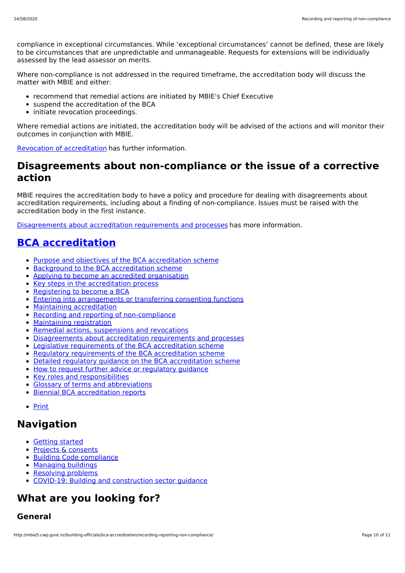compliance in exceptional circumstances. While 'exceptional circumstances' cannot be defined, these are likely to be circumstances that are unpredictable and unmanageable. Requests for extensions will be individually assessed by the lead assessor on merits.

Where non-compliance is not addressed in the required timeframe, the accreditation body will discuss the matter with MBIE and either:

- recommend that remedial actions are initiated by MBIE's Chief Executive
- suspend the accreditation of the BCA
- initiate revocation proceedings.

Where remedial actions are initiated, the accreditation body will be advised of the actions and will monitor their outcomes in conjunction with MBIE.

Revocation of [accreditation](http://mbie5.cwp.govt.nz/building-officials/bca-accreditation/remedial-actions-suspensions-revocations/) has further information.

## **Disagreements about non-compliance or the issue of a corrective action**

MBIE requires the accreditation body to have a policy and procedure for dealing with disagreements about accreditation requirements, including about a finding of non-compliance. Issues must be raised with the accreditation body in the first instance.

[Disagreements](http://mbie5.cwp.govt.nz/building-officials/bca-accreditation/disagreements-about-accreditation-requirements-and-processes/) about accreditation requirements and processes has more information.

# **BCA [accreditation](http://mbie5.cwp.govt.nz/building-officials/bca-accreditation/)**

- Purpose and objectives of the BCA [accreditation](http://mbie5.cwp.govt.nz/building-officials/bca-accreditation/purpose-objectives-bca-accreditation/) scheme
- Background to the BCA [accreditation](http://mbie5.cwp.govt.nz/building-officials/bca-accreditation/background-bca-accreditation/) scheme  $\bullet$
- Applying to become an accredited [organisation](http://mbie5.cwp.govt.nz/building-officials/bca-accreditation/apply-become-accredited-organisation/)  $\bullet$
- Key steps in the [accreditation](http://mbie5.cwp.govt.nz/building-officials/bca-accreditation/key-steps-accreditation-process/) process
- [Registering](http://mbie5.cwp.govt.nz/building-officials/bca-accreditation/registering-become-bca/) to become a BCA
- **Entering into [arrangements](http://mbie5.cwp.govt.nz/building-officials/bca-accreditation/entering-arrangements-or-transferring-consenting-functions/) or transferring consenting functions**
- Maintaining [accreditation](http://mbie5.cwp.govt.nz/building-officials/bca-accreditation/maintaining-accreditation/)
- Recording and reporting of [non-compliance](http://mbie5.cwp.govt.nz/building-officials/bca-accreditation/recording-reporting-non-compliance/)  $\bullet$
- $\bullet$ [Maintaining](http://mbie5.cwp.govt.nz/building-officials/bca-accreditation/maintaining-registration/) registration
- Remedial actions, [suspensions](http://mbie5.cwp.govt.nz/building-officials/bca-accreditation/remedial-actions-suspensions-revocations/) and revocations
- [Disagreements](http://mbie5.cwp.govt.nz/building-officials/bca-accreditation/disagreements-about-accreditation-requirements-and-processes/) about accreditation requirements and processes
- Legislative [requirements](http://mbie5.cwp.govt.nz/building-officials/bca-accreditation/legislative-requirements-bca-accreditation-scheme/) of the BCA accreditation scheme
- Regulatory [requirements](http://mbie5.cwp.govt.nz/building-officials/bca-accreditation/regulatory-requirements-bca-accreditation-scheme/) of the BCA accreditation scheme
- Detailed regulatory guidance on the BCA [accreditation](http://mbie5.cwp.govt.nz/building-officials/bca-accreditation/detailed-regulatory-guidance/) scheme
- How to request further advice or [regulatory](http://mbie5.cwp.govt.nz/building-officials/bca-accreditation/request-further-advice-or-regulatory-guidance/) guidance
- Key roles and [responsibilities](http://mbie5.cwp.govt.nz/building-officials/bca-accreditation/key-roles-and-responsibilities/)
- Glossary of terms and [abbreviations](http://mbie5.cwp.govt.nz/building-officials/bca-accreditation/terms-and-abbreviations/)
- Biennial BCA [accreditation](http://mbie5.cwp.govt.nz/building-officials/bca-accreditation/biennial-bca-accreditation-reports/) reports
- [Print](http://mbie5.cwp.govt.nz/#)

## **Navigation**

- [Getting](http://mbie5.cwp.govt.nz/getting-started/) started
- Projects & [consents](http://mbie5.cwp.govt.nz/projects-and-consents/)
- Building Code [compliance](http://mbie5.cwp.govt.nz/building-code-compliance/)
- [Managing](http://mbie5.cwp.govt.nz/managing-buildings/) buildings
- [Resolving](http://mbie5.cwp.govt.nz/resolving-problems/) problems
- COVID-19: Building and [construction](http://mbie5.cwp.govt.nz/covid-19/) sector guidance

# **What are you looking for?**

### **General**